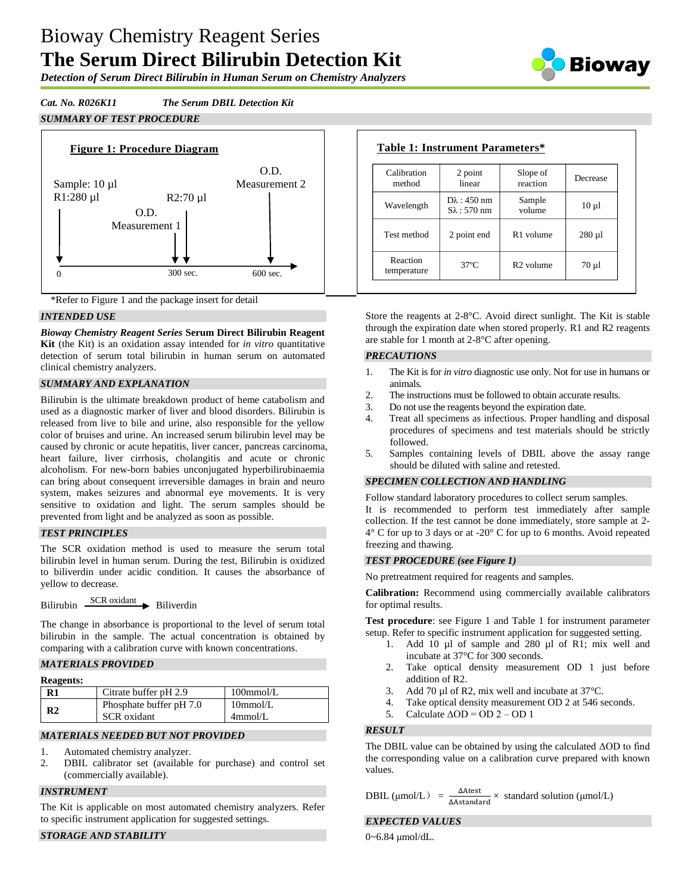# Bioway Chemistry Reagent Series **The Serum Direct Bilirubin Detection Kit**

Biowav

*Detection of Serum Direct Bilirubin in Human Serum on Chemistry Analyzers*

*Cat. No. R026K11 The Serum DBIL Detection Kit*





\*Refer to Figure 1 and the package insert for detail

# *INTENDED USE*

*Bioway Chemistry Reagent Series* **Serum Direct Bilirubin Reagent Kit** (the Kit) is an oxidation assay intended for *in vitro* quantitative detection of serum total bilirubin in human serum on automated clinical chemistry analyzers.

# *SUMMARY AND EXPLANATION*

Bilirubin is the ultimate breakdown product of heme catabolism and used as a diagnostic marker of liver and blood disorders. Bilirubin is released from live to bile and urine, also responsible for the yellow color of bruises and urine. An increased serum bilirubin level may be caused by chronic or acute hepatitis, liver cancer, pancreas carcinoma, heart failure, liver cirrhosis, cholangitis and acute or chronic alcoholism. For new-born babies unconjugated hyperbilirubinaemia can bring about consequent irreversible damages in brain and neuro system, makes seizures and abnormal eye movements. It is very sensitive to oxidation and light. The serum samples should be prevented from light and be analyzed as soon as possible.

### *TEST PRINCIPLES*

The SCR oxidation method is used to measure the serum total bilirubin level in human serum. During the test, Bilirubin is oxidized to biliverdin under acidic condition. It causes the absorbance of yellow to decrease.

Bilirubin  $\frac{\text{SCR oxidation}}{\text{D}}$  Biliverdin

The change in absorbance is proportional to the level of serum total bilirubin in the sample. The actual concentration is obtained by comparing with a calibration curve with known concentrations.

# *MATERIALS PROVIDED*

#### **Reagents:**

| $\mathbf{R}1$  | Citrate buffer pH 2.9   | $100$ mmol/L |
|----------------|-------------------------|--------------|
| R <sub>2</sub> | Phosphate buffer pH 7.0 | $10$ mmol/L  |
|                | <b>SCR</b> oxidant      | 4mmol/L      |

### *MATERIALS NEEDED BUT NOT PROVIDED*

- 1. Automated chemistry analyzer.
- 2. DBIL calibrator set (available for purchase) and control set (commercially available).

### *INSTRUMENT*

The Kit is applicable on most automated chemistry analyzers. Refer to specific instrument application for suggested settings.

# *STORAGE AND STABILITY*

| Calibration<br>method   | 2 point<br>linear                             | Slope of<br>reaction  | Decrease    |
|-------------------------|-----------------------------------------------|-----------------------|-------------|
| Wavelength              | $D\lambda$ : 450 nm<br>$S_{\lambda}$ : 570 nm | Sample<br>volume      | $10 \mu l$  |
| Test method             | 2 point end                                   | R <sub>1</sub> volume | $280 \mu l$ |
| Reaction<br>temperature | $37^\circ$ C                                  | R <sub>2</sub> volume | $70 \mu$ 1  |

Store the reagents at 2-8°C. Avoid direct sunlight. The Kit is stable through the expiration date when stored properly. R1 and R2 reagents are stable for 1 month at 2-8°C after opening.

### *PRECAUTIONS*

- 1. The Kit is for *in vitro* diagnostic use only. Not for use in humans or animals.
- 2. The instructions must be followed to obtain accurate results.
- 3. Do not use the reagents beyond the expiration date.
- 4. Treat all specimens as infectious. Proper handling and disposal procedures of specimens and test materials should be strictly followed.
- 5. Samples containing levels of DBIL above the assay range should be diluted with saline and retested.

### *SPECIMEN COLLECTION AND HANDLING*

Follow standard laboratory procedures to collect serum samples. It is recommended to perform test immediately after sample collection. If the test cannot be done immediately, store sample at 2-  $4^{\circ}$  C for up to 3 days or at -20 $^{\circ}$  C for up to 6 months. Avoid repeated freezing and thawing.

### *TEST PROCEDURE (see Figure 1)*

No pretreatment required for reagents and samples.

**Calibration:** Recommend using commercially available calibrators for optimal results.

**Test procedure**: see Figure 1 and Table 1 for instrument parameter setup. Refer to specific instrument application for suggested setting.

- 1. Add 10 µl of sample and 280 µl of R1; mix well and incubate at 37°C for 300 seconds.
- 2. Take optical density measurement OD 1 just before addition of R2.
- 3. Add 70 µl of R2, mix well and incubate at 37 °C.
- 4. Take optical density measurement OD 2 at 546 seconds.
- 5. Calculate  $\triangle$ OD = OD 2 OD 1

### *RESULT*

The DBIL value can be obtained by using the calculated ΔOD to find the corresponding value on a calibration curve prepared with known values.

DBIL ( $\mu$ mol/L) =  $\frac{\Delta A \text{ test}}{\Delta A \text{ standard}} \times$  standard solution ( $\mu$ mol/L) ΔAtest

### *EXPECTED VALUES*

0~6.84 μmol/dL.